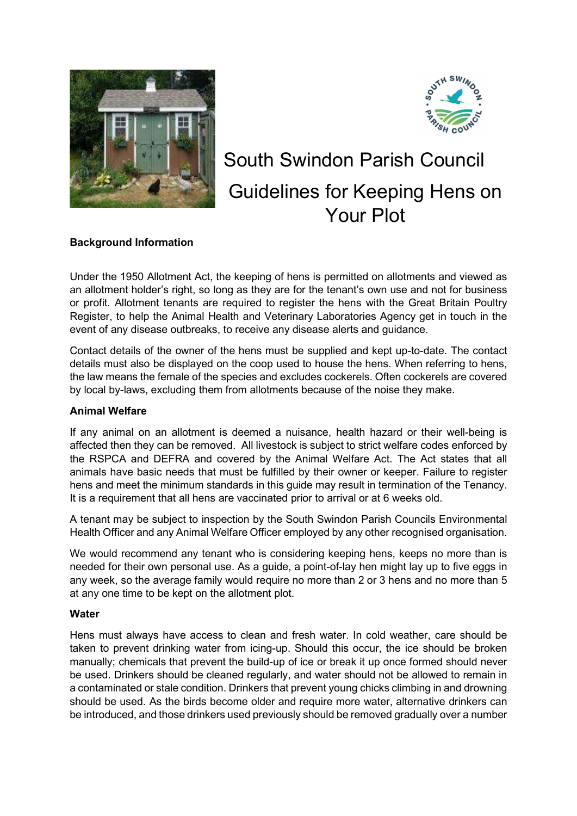



# South Swindon Parish Council Guidelines for Keeping Hens on Your Plot

# Background Information

Under the 1950 Allotment Act, the keeping of hens is permitted on allotments and viewed as an allotment holder's right, so long as they are for the tenant's own use and not for business or profit. Allotment tenants are required to register the hens with the Great Britain Poultry Register, to help the Animal Health and Veterinary Laboratories Agency get in touch in the event of any disease outbreaks, to receive any disease alerts and guidance.

Contact details of the owner of the hens must be supplied and kept up-to-date. The contact details must also be displayed on the coop used to house the hens. When referring to hens, the law means the female of the species and excludes cockerels. Often cockerels are covered by local by-laws, excluding them from allotments because of the noise they make.

# Animal Welfare

If any animal on an allotment is deemed a nuisance, health hazard or their well-being is affected then they can be removed. All livestock is subject to strict welfare codes enforced by the RSPCA and DEFRA and covered by the Animal Welfare Act. The Act states that all animals have basic needs that must be fulfilled by their owner or keeper. Failure to register hens and meet the minimum standards in this guide may result in termination of the Tenancy. It is a requirement that all hens are vaccinated prior to arrival or at 6 weeks old.

A tenant may be subject to inspection by the South Swindon Parish Councils Environmental Health Officer and any Animal Welfare Officer employed by any other recognised organisation.

We would recommend any tenant who is considering keeping hens, keeps no more than is needed for their own personal use. As a guide, a point-of-lay hen might lay up to five eggs in any week, so the average family would require no more than 2 or 3 hens and no more than 5 at any one time to be kept on the allotment plot.

#### **Water**

Hens must always have access to clean and fresh water. In cold weather, care should be taken to prevent drinking water from icing-up. Should this occur, the ice should be broken manually; chemicals that prevent the build-up of ice or break it up once formed should never be used. Drinkers should be cleaned regularly, and water should not be allowed to remain in a contaminated or stale condition. Drinkers that prevent young chicks climbing in and drowning should be used. As the birds become older and require more water, alternative drinkers can be introduced, and those drinkers used previously should be removed gradually over a number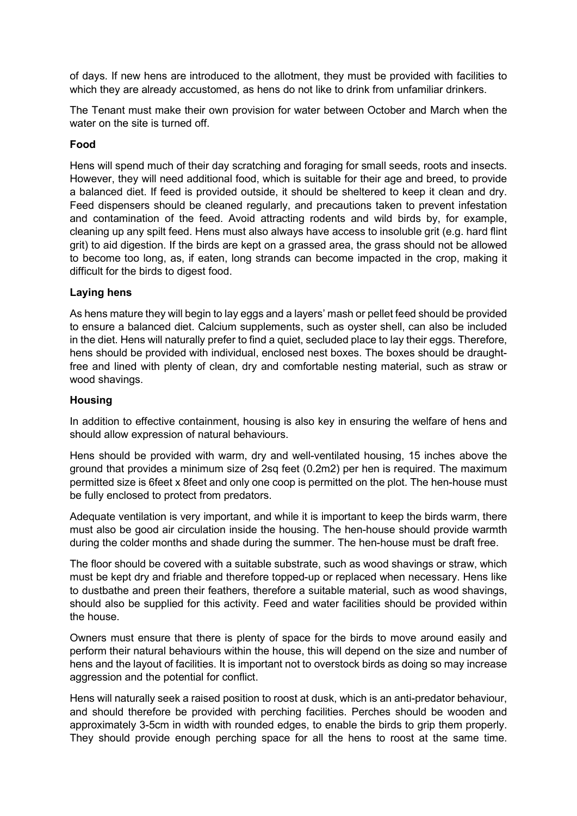of days. If new hens are introduced to the allotment, they must be provided with facilities to which they are already accustomed, as hens do not like to drink from unfamiliar drinkers.

The Tenant must make their own provision for water between October and March when the water on the site is turned off.

#### Food

Hens will spend much of their day scratching and foraging for small seeds, roots and insects. However, they will need additional food, which is suitable for their age and breed, to provide a balanced diet. If feed is provided outside, it should be sheltered to keep it clean and dry. Feed dispensers should be cleaned regularly, and precautions taken to prevent infestation and contamination of the feed. Avoid attracting rodents and wild birds by, for example, cleaning up any spilt feed. Hens must also always have access to insoluble grit (e.g. hard flint grit) to aid digestion. If the birds are kept on a grassed area, the grass should not be allowed to become too long, as, if eaten, long strands can become impacted in the crop, making it difficult for the birds to digest food.

## Laying hens

As hens mature they will begin to lay eggs and a layers' mash or pellet feed should be provided to ensure a balanced diet. Calcium supplements, such as oyster shell, can also be included in the diet. Hens will naturally prefer to find a quiet, secluded place to lay their eggs. Therefore, hens should be provided with individual, enclosed nest boxes. The boxes should be draughtfree and lined with plenty of clean, dry and comfortable nesting material, such as straw or wood shavings.

#### **Housing**

In addition to effective containment, housing is also key in ensuring the welfare of hens and should allow expression of natural behaviours.

Hens should be provided with warm, dry and well-ventilated housing, 15 inches above the ground that provides a minimum size of 2sq feet (0.2m2) per hen is required. The maximum permitted size is 6feet x 8feet and only one coop is permitted on the plot. The hen-house must be fully enclosed to protect from predators.

Adequate ventilation is very important, and while it is important to keep the birds warm, there must also be good air circulation inside the housing. The hen-house should provide warmth during the colder months and shade during the summer. The hen-house must be draft free.

The floor should be covered with a suitable substrate, such as wood shavings or straw, which must be kept dry and friable and therefore topped-up or replaced when necessary. Hens like to dustbathe and preen their feathers, therefore a suitable material, such as wood shavings, should also be supplied for this activity. Feed and water facilities should be provided within the house.

Owners must ensure that there is plenty of space for the birds to move around easily and perform their natural behaviours within the house, this will depend on the size and number of hens and the layout of facilities. It is important not to overstock birds as doing so may increase aggression and the potential for conflict.

Hens will naturally seek a raised position to roost at dusk, which is an anti-predator behaviour, and should therefore be provided with perching facilities. Perches should be wooden and approximately 3-5cm in width with rounded edges, to enable the birds to grip them properly. They should provide enough perching space for all the hens to roost at the same time.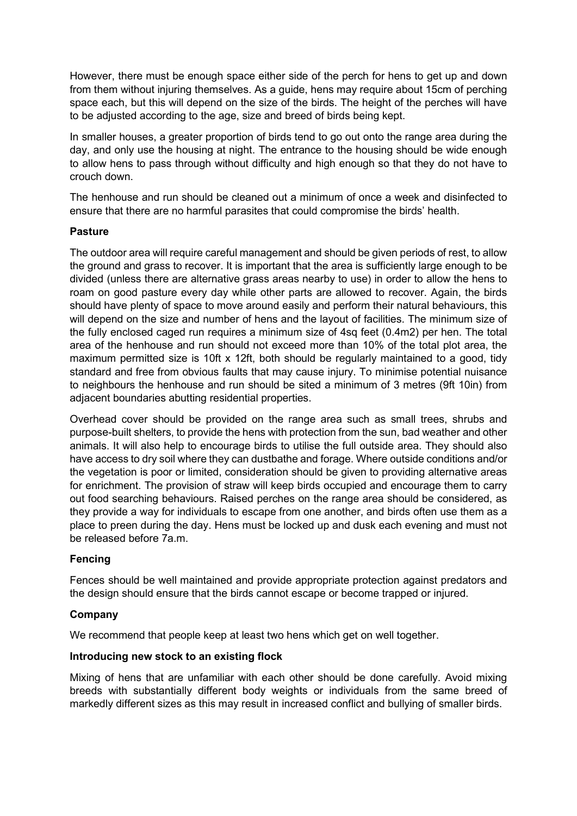However, there must be enough space either side of the perch for hens to get up and down from them without injuring themselves. As a guide, hens may require about 15cm of perching space each, but this will depend on the size of the birds. The height of the perches will have to be adjusted according to the age, size and breed of birds being kept.

In smaller houses, a greater proportion of birds tend to go out onto the range area during the day, and only use the housing at night. The entrance to the housing should be wide enough to allow hens to pass through without difficulty and high enough so that they do not have to crouch down.

The henhouse and run should be cleaned out a minimum of once a week and disinfected to ensure that there are no harmful parasites that could compromise the birds' health.

## **Pasture**

The outdoor area will require careful management and should be given periods of rest, to allow the ground and grass to recover. It is important that the area is sufficiently large enough to be divided (unless there are alternative grass areas nearby to use) in order to allow the hens to roam on good pasture every day while other parts are allowed to recover. Again, the birds should have plenty of space to move around easily and perform their natural behaviours, this will depend on the size and number of hens and the layout of facilities. The minimum size of the fully enclosed caged run requires a minimum size of 4sq feet (0.4m2) per hen. The total area of the henhouse and run should not exceed more than 10% of the total plot area, the maximum permitted size is 10ft x 12ft, both should be regularly maintained to a good, tidy standard and free from obvious faults that may cause injury. To minimise potential nuisance to neighbours the henhouse and run should be sited a minimum of 3 metres (9ft 10in) from adjacent boundaries abutting residential properties.

Overhead cover should be provided on the range area such as small trees, shrubs and purpose-built shelters, to provide the hens with protection from the sun, bad weather and other animals. It will also help to encourage birds to utilise the full outside area. They should also have access to dry soil where they can dustbathe and forage. Where outside conditions and/or the vegetation is poor or limited, consideration should be given to providing alternative areas for enrichment. The provision of straw will keep birds occupied and encourage them to carry out food searching behaviours. Raised perches on the range area should be considered, as they provide a way for individuals to escape from one another, and birds often use them as a place to preen during the day. Hens must be locked up and dusk each evening and must not be released before 7a.m.

#### Fencing

Fences should be well maintained and provide appropriate protection against predators and the design should ensure that the birds cannot escape or become trapped or injured.

#### Company

We recommend that people keep at least two hens which get on well together.

#### Introducing new stock to an existing flock

Mixing of hens that are unfamiliar with each other should be done carefully. Avoid mixing breeds with substantially different body weights or individuals from the same breed of markedly different sizes as this may result in increased conflict and bullying of smaller birds.